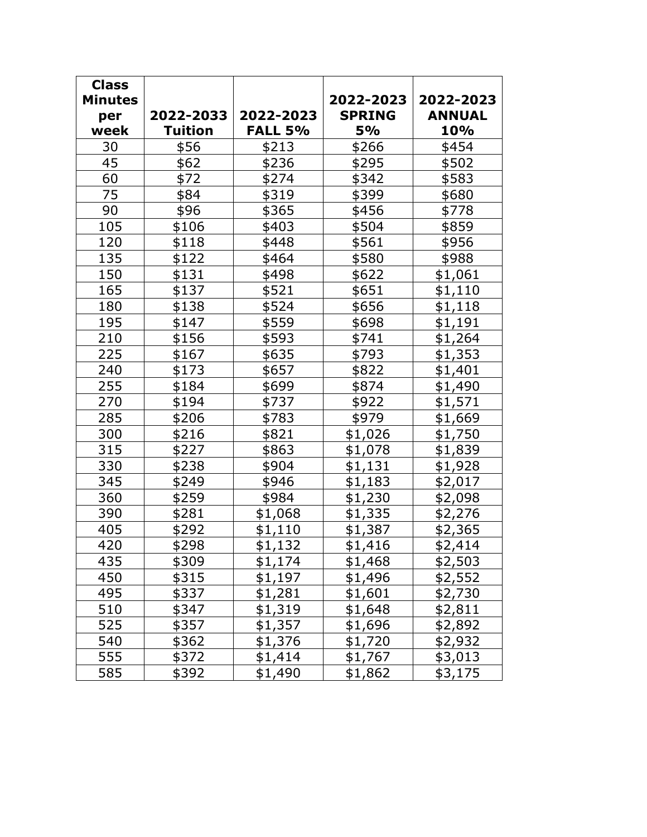| <b>Class</b><br><b>Minutes</b> |                |                | 2022-2023     | 2022-2023      |
|--------------------------------|----------------|----------------|---------------|----------------|
| per                            | 2022-2033      | 2022-2023      | <b>SPRING</b> | <b>ANNUAL</b>  |
| week                           | <b>Tuition</b> | <b>FALL 5%</b> | <b>5%</b>     | 10%            |
| 30                             | \$56           | \$213          | \$266         | \$454          |
| 45                             | \$62           | \$236          | \$295         | \$502          |
| 60                             | \$72           | \$274          | \$342         | \$583          |
| 75                             | \$84           | \$319          | \$399         | \$680          |
| 90                             | \$96           | \$365          | \$456         | \$778          |
| 105                            | \$106          | \$403          | \$504         | \$859          |
| 120                            | \$118          | \$448          | \$561         | \$956          |
| 135                            | \$122          | \$464          | \$580         | \$988          |
| 150                            | \$131          | \$498          | \$622         | \$1,061        |
| 165                            | \$137          | \$521          | \$651         | \$1,110        |
| 180                            | \$138          | \$524          | \$656         | \$1,118        |
| 195                            | \$147          | \$559          | \$698         | \$1,191        |
| 210                            | \$156          | \$593          | \$741         | \$1,264        |
| 225                            | \$167          | \$635          | \$793         | \$1,353        |
| 240                            | \$173          | \$657          | \$822         | \$1,401        |
| 255                            | \$184          | \$699          | \$874         | \$1,490        |
| 270                            | \$194          | \$737          | \$922         | \$1,571        |
| 285                            | \$206          | \$783          | \$979         | \$1,669        |
| 300                            | \$216          | \$821          | \$1,026       | \$1,750        |
| 315                            | \$227          | \$863          | \$1,078       | \$1,839        |
| 330                            | \$238          | \$904          | \$1,131       | \$1,928        |
| 345                            | \$249          | \$946          | \$1,183       | \$2,017        |
| 360                            | \$259          | \$984          | \$1,230       | \$2,098        |
| 390                            | \$281          | \$1,068        | \$1,335       | \$2,276        |
| 405                            | \$292          | \$1,110        | \$1,387       | \$2,365        |
| 420                            | \$298          | \$1,132        | \$1,416       | \$2,414        |
| 435                            | \$309          | \$1,174        | \$1,468       | \$2,503        |
| 450                            | \$315          | \$1,197        | \$1,496       | <u>\$2,552</u> |
| 495                            | \$337          | <u>\$1,281</u> | \$1,601       | \$2,730        |
| 510                            | \$347          | \$1,319        | \$1,648       | \$2,811        |
| 525                            | \$357          | \$1,357        | \$1,696       | \$2,892        |
| 540                            | \$362          | \$1,376        | \$1,720       | \$2,932        |
| 555                            | \$372          | \$1,414        | \$1,767       | \$3,013        |
| 585                            | \$392          | \$1,490        | \$1,862       | \$3,175        |